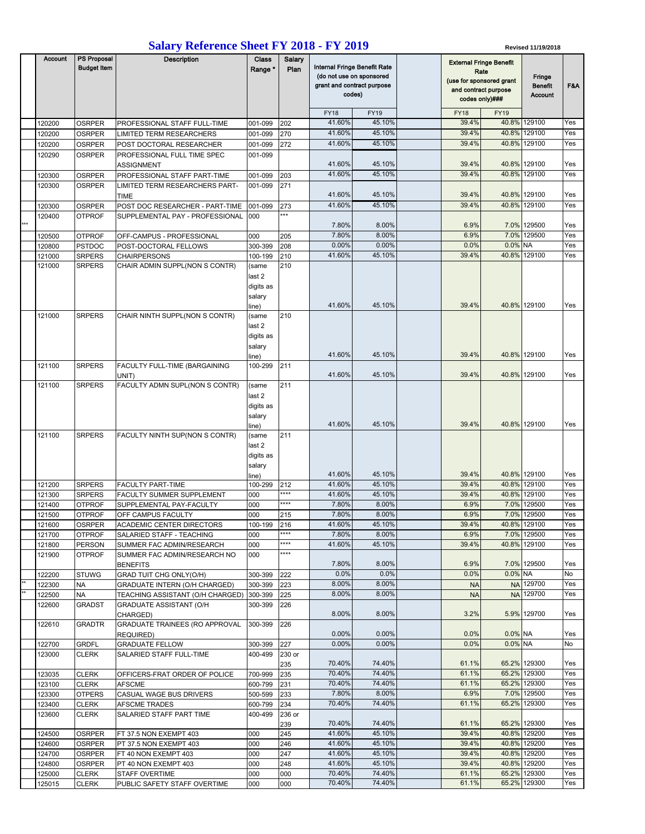## **Salary Reference Sheet FY 2018 - FY 2019**

| <b>Salary Reference Sheet FY 2018 - FY 2019</b> |                  |                                          |                                                        |                                                          |               |                                                                                                  |                  |  | Revised 11/19/2018                                                                         |             |                              |            |  |
|-------------------------------------------------|------------------|------------------------------------------|--------------------------------------------------------|----------------------------------------------------------|---------------|--------------------------------------------------------------------------------------------------|------------------|--|--------------------------------------------------------------------------------------------|-------------|------------------------------|------------|--|
|                                                 | <b>Account</b>   | <b>PS Proposal</b><br><b>Budget Item</b> | <b>Description</b>                                     | Class<br>Salary<br>Range *<br>Plan                       |               | Internal Fringe Benefit Rate<br>(do not use on sponsored<br>grant and contract purpose<br>codes) |                  |  | <b>External Fringe Benefit</b><br>Rate<br>(use for sponsored grant<br>and contract purpose |             | Fringe<br><b>Benefit</b>     | F&A        |  |
|                                                 |                  |                                          |                                                        |                                                          |               |                                                                                                  |                  |  | codes only)###                                                                             |             | Account                      |            |  |
|                                                 |                  |                                          |                                                        |                                                          |               | <b>FY18</b>                                                                                      | <b>FY19</b>      |  | <b>FY18</b>                                                                                | <b>FY19</b> |                              |            |  |
|                                                 | 120200           | <b>OSRPER</b>                            | PROFESSIONAL STAFF FULL-TIME                           | 001-099                                                  | 202           | 41.60%                                                                                           | 45.10%           |  | 39.4%                                                                                      |             | 40.8% 129100                 | Yes        |  |
|                                                 | 120200           | <b>OSRPER</b>                            | LIMITED TERM RESEARCHERS                               | 001-099                                                  | 270           | 41.60%                                                                                           | 45.10%           |  | 39.4%                                                                                      | 40.8%       | 129100                       | Yes        |  |
|                                                 | 120200           | <b>OSRPER</b>                            | POST DOCTORAL RESEARCHER                               | 001-099                                                  | 272           | 41.60%                                                                                           | 45.10%           |  | 39.4%                                                                                      | 40.8%       | 129100                       | Yes        |  |
|                                                 | 120290           | OSRPER                                   | PROFESSIONAL FULL TIME SPEC<br>ASSIGNMENT              | 001-099                                                  |               | 41.60%                                                                                           | 45.10%           |  | 39.4%                                                                                      |             | 40.8% 129100                 | Yes        |  |
|                                                 | 120300           | <b>OSRPER</b>                            | PROFESSIONAL STAFF PART-TIME                           | 001-099                                                  | 203           | 41.60%                                                                                           | 45.10%           |  | 39.4%                                                                                      |             | 40.8% 129100                 | Yes        |  |
|                                                 | 120300           | <b>OSRPER</b>                            | LIMITED TERM RESEARCHERS PART-<br><b>TIME</b>          | 001-099                                                  | 271           | 41.60%                                                                                           | 45.10%           |  | 39.4%                                                                                      |             | 40.8% 129100                 | Yes        |  |
|                                                 | 120300           | <b>OSRPER</b>                            | POST DOC RESEARCHER - PART-TIME                        | 001-099                                                  | 273           | 41.60%                                                                                           | 45.10%           |  | 39.4%                                                                                      | 40.8%       | 129100                       | Yes        |  |
| ***                                             | 120400           | <b>OTPROF</b>                            | SUPPLEMENTAL PAY - PROFESSIONAL                        | 000                                                      | ***           | 7.80%                                                                                            | 8.00%            |  | 6.9%                                                                                       |             | 7.0% 129500                  | Yes        |  |
|                                                 | 120500           | <b>OTPROF</b>                            | OFF-CAMPUS - PROFESSIONAL                              | 000                                                      | 205           | 7.80%                                                                                            | 8.00%            |  | 6.9%                                                                                       |             | 7.0% 129500                  | Yes        |  |
|                                                 | 120800           | <b>PSTDOC</b>                            | POST-DOCTORAL FELLOWS                                  | 300-399                                                  | 208           | 0.00%                                                                                            | 0.00%            |  | 0.0%                                                                                       | 0.0% NA     |                              | Yes        |  |
|                                                 | 121000           | <b>SRPERS</b>                            | <b>CHAIRPERSONS</b>                                    | 100-199                                                  | 210           | 41.60%                                                                                           | 45.10%           |  | 39.4%                                                                                      | 40.8%       | 129100                       | Yes        |  |
|                                                 | 121000           | <b>SRPERS</b>                            | CHAIR ADMIN SUPPL(NON S CONTR)                         | (same<br>last 2<br>digits as<br>salary                   | 210           | 41.60%                                                                                           | 45.10%           |  | 39.4%                                                                                      |             | 40.8% 129100                 | Yes        |  |
|                                                 | 121000           | <b>SRPERS</b>                            | CHAIR NINTH SUPPL(NON S CONTR)                         | line)<br>(same<br>last 2<br>digits as<br>salary<br>line) | 210           | 41.60%                                                                                           | 45.10%           |  | 39.4%                                                                                      |             | 40.8% 129100                 | Yes        |  |
|                                                 | 121100           | <b>SRPERS</b>                            | FACULTY FULL-TIME (BARGAINING                          | 100-299                                                  | 211           | 41.60%                                                                                           | 45.10%           |  | 39.4%                                                                                      |             | 40.8% 129100                 | Yes        |  |
|                                                 | 121100           | <b>SRPERS</b>                            | UNIT)<br>FACULTY ADMN SUPL(NON S CONTR)                | (same                                                    | 211           |                                                                                                  |                  |  |                                                                                            |             |                              |            |  |
|                                                 |                  |                                          |                                                        | last 2<br>digits as<br>salary                            |               |                                                                                                  |                  |  |                                                                                            |             |                              |            |  |
|                                                 | 121100           | <b>SRPERS</b>                            |                                                        | line)                                                    | 211           | 41.60%                                                                                           | 45.10%           |  | 39.4%                                                                                      |             | 40.8% 129100                 | Yes        |  |
|                                                 |                  |                                          | FACULTY NINTH SUP(NON S CONTR)                         | (same<br>last 2<br>digits as<br>salary<br>line)          |               | 41.60%                                                                                           | 45.10%           |  | 39.4%                                                                                      |             | 40.8% 129100                 | Yes        |  |
|                                                 | 121200           | <b>SRPERS</b>                            | FACULTY PART-TIME                                      | 100-299                                                  | 212           | 41.60%                                                                                           | 45.10%           |  | 39.4%                                                                                      | 40.8%       | 129100                       | Yes        |  |
|                                                 | 121300           | <b>SRPERS</b>                            | FACULTY SUMMER SUPPLEMENT                              | 000                                                      | ****          | 41.60%                                                                                           | 45.10%           |  | 39.4%                                                                                      |             | 40.8% 129100                 | Yes        |  |
|                                                 | 121400           | <b>OTPROF</b>                            | SUPPLEMENTAL PAY-FACULTY                               | 000                                                      | ****          | 7.80%                                                                                            | 8.00%            |  | 6.9%                                                                                       |             | 7.0% 129500                  | Yes        |  |
|                                                 | 121500           | <b>OTPROF</b>                            | OFF CAMPUS FACULTY                                     | 000                                                      | 215           | $1.80\%$<br>41.60%                                                                               | 8.00%<br>45.10%  |  | $6.9\%$<br>39.4%                                                                           |             | 7.0% 129500<br>40.8% 129100  | Yes        |  |
|                                                 | 121600<br>121700 | <b>OSRPER</b><br><b>OTPROF</b>           | ACADEMIC CENTER DIRECTORS<br>SALARIED STAFF - TEACHING | 100-199<br>000                                           | 216<br>****   | 7.80%                                                                                            | 8.00%            |  | 6.9%                                                                                       |             | 7.0% 129500                  | Yes<br>Yes |  |
|                                                 | 121800           | PERSON                                   | SUMMER FAC ADMIN/RESEARCH                              | 000                                                      | ****          | 41.60%                                                                                           | 45.10%           |  | 39.4%                                                                                      |             | 40.8% 129100                 | Yes        |  |
|                                                 | 121900           | <b>OTPROF</b>                            | SUMMER FAC ADMIN/RESEARCH NO                           | 000                                                      | ****          | 7.80%                                                                                            | 8.00%            |  | 6.9%                                                                                       |             | 7.0% 129500                  | Yes        |  |
|                                                 | 122200           | <b>STUWG</b>                             | <b>BENEFITS</b><br>GRAD TUIT CHG ONLY(O/H)             | 300-399                                                  | 222           | 0.0%                                                                                             | 0.0%             |  | 0.0%                                                                                       | $0.0\%$ NA  |                              | No         |  |
|                                                 | 122300           | <b>NA</b>                                | GRADUATE INTERN (O/H CHARGED)                          | 300-399                                                  | 223           | 8.00%                                                                                            | 8.00%            |  | <b>NA</b>                                                                                  |             | NA 129700                    | Yes        |  |
|                                                 | 122500           | <b>NA</b>                                | TEACHING ASSISTANT (O/H CHARGED)                       | 300-399                                                  | 225           | 8.00%                                                                                            | 8.00%            |  | <b>NA</b>                                                                                  |             | NA 129700                    | Yes        |  |
|                                                 | 122600           | <b>GRADST</b>                            | GRADUATE ASSISTANT (O/H<br>CHARGED)                    | 300-399                                                  | 226           | 8.00%                                                                                            | 8.00%            |  | 3.2%                                                                                       |             | 5.9% 129700                  | Yes        |  |
|                                                 | 122610           | <b>GRADTR</b>                            | GRADUATE TRAINEES (RO APPROVAL<br>REQUIRED)            | 300-399                                                  | 226           | $0.00\%$                                                                                         | 0.00%            |  | 0.0%                                                                                       | 0.0% NA     |                              | Yes        |  |
|                                                 | 122700           | <b>GRDFL</b>                             | <b>GRADUATE FELLOW</b>                                 | 300-399                                                  | 227           | 0.00%                                                                                            | 0.00%            |  | 0.0%                                                                                       | 0.0% NA     |                              | No         |  |
|                                                 | 123000           | <b>CLERK</b>                             | SALARIED STAFF FULL-TIME                               | 400-499                                                  | 230 or<br>235 | 70.40%                                                                                           | 74.40%           |  | 61.1%                                                                                      |             | 65.2% 129300                 | Yes        |  |
|                                                 | 123035           | <b>CLERK</b>                             | OFFICERS-FRAT ORDER OF POLICE                          | 700-999                                                  | 235           | 70.40%                                                                                           | 74.40%           |  | 61.1%                                                                                      |             | 65.2% 129300                 | Yes        |  |
|                                                 | 123100           | <b>CLERK</b>                             | <b>AFSCME</b>                                          | 600-799                                                  | 231           | 70.40%                                                                                           | 74.40%           |  | 61.1%                                                                                      |             | 65.2% 129300                 | Yes        |  |
|                                                 | 123300           | <b>OTPERS</b>                            | CASUAL WAGE BUS DRIVERS                                | 500-599                                                  | 233           | 7.80%                                                                                            | 8.00%            |  | 6.9%                                                                                       |             | 7.0% 129500                  | Yes        |  |
|                                                 | 123400           | <b>CLERK</b>                             | AFSCME TRADES                                          | 600-799                                                  | 234           | 70.40%                                                                                           | 74.40%           |  | 61.1%                                                                                      |             | 65.2% 129300                 | Yes        |  |
|                                                 | 123600           | <b>CLERK</b>                             | SALARIED STAFF PART TIME                               | 400-499                                                  | 236 or<br>239 | 70.40%                                                                                           | 74.40%           |  | 61.1%                                                                                      |             | 65.2% 129300                 | Yes        |  |
|                                                 | 124500           | <b>OSRPER</b>                            | FT 37.5 NON EXEMPT 403                                 | 000                                                      | 245           | 41.60%                                                                                           | 45.10%           |  | 39.4%                                                                                      |             | 40.8% 129200                 | Yes        |  |
|                                                 | 124600           | <b>OSRPER</b>                            | PT 37.5 NON EXEMPT 403                                 | 000                                                      | 246           | 41.60%                                                                                           | 45.10%           |  | 39.4%                                                                                      |             | 40.8% 129200                 | Yes        |  |
|                                                 | 124700           | OSRPER                                   | FT 40 NON EXEMPT 403                                   | 000                                                      | 247           | 41.60%<br>41.60%                                                                                 | 45.10%<br>45.10% |  | 39.4%<br>39.4%                                                                             |             | 40.8% 129200<br>40.8% 129200 | Yes<br>Yes |  |
|                                                 | 124800<br>125000 | <b>OSRPER</b><br><b>CLERK</b>            | PT 40 NON EXEMPT 403<br>STAFF OVERTIME                 | 000<br>000                                               | 248<br>000    | 70.40%                                                                                           | 74.40%           |  | 61.1%                                                                                      |             | 65.2% 129300                 | Yes        |  |
|                                                 | 125015           | <b>CLERK</b>                             | PUBLIC SAFETY STAFF OVERTIME                           | 000                                                      | 000           | 70.40%                                                                                           | 74.40%           |  | 61.1%                                                                                      |             | 65.2% 129300                 | Yes        |  |
|                                                 |                  |                                          |                                                        |                                                          |               |                                                                                                  |                  |  |                                                                                            |             |                              |            |  |